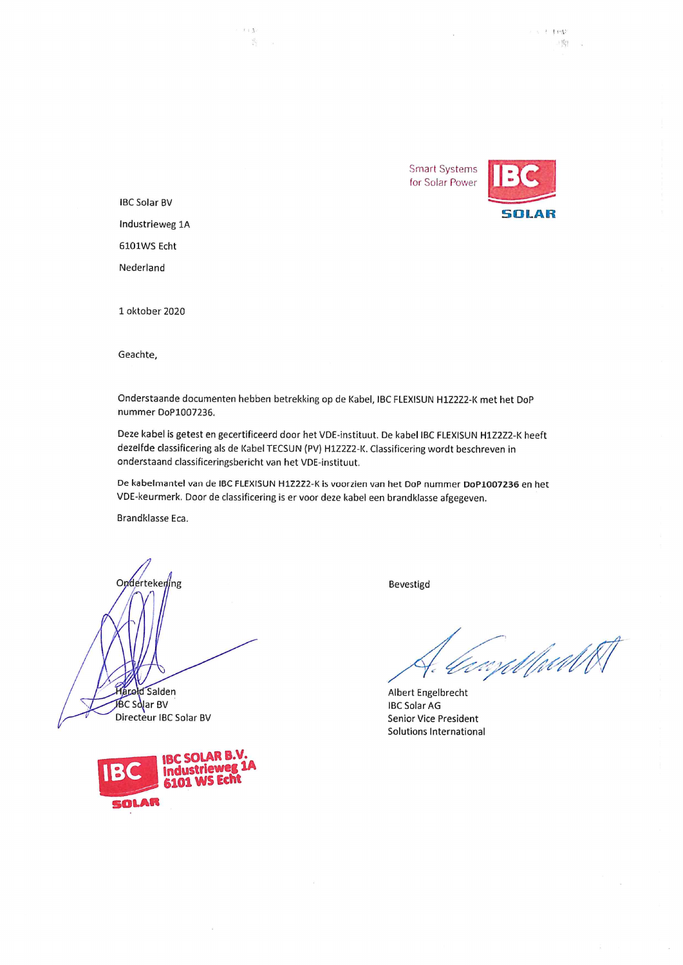**Smart Systems** for Solar Power



 $\tau \approx 2$  . For<br>a

一周! 2

**IBC Solar BV** Industrieweg 1A 6101WS Echt Nederland

 $t + \Lambda$ 

 $\frac{p_{\rm{B}}^{\rm{eff}}}{q_{\rm{B}}^{\rm{eff}}}\,$ 

1 oktober 2020

Geachte,

Onderstaande documenten hebben betrekking op de Kabel, IBC FLEXISUN H1Z2Z2-K met het DoP nummer DoP1007236.

Deze kabel is getest en gecertificeerd door het VDE-instituut. De kabel IBC FLEXISUN H1Z2Z2-K heeft dezelfde classificering als de Kabel TECSUN (PV) H1Z2Z2-K. Classificering wordt beschreven in onderstaand classificeringsbericht van het VDE-instituut.

De kabelmantel van de IBC FLEXISUN H1Z2Z2-K is voorzien van het DoP nummer DoP1007236 en het VDE-keurmerk. Door de classificering is er voor deze kabel een brandklasse afgegeven.

Brandklasse Eca.

Ondertekening **Arold Salden BC Solar BV** 

Directeur IBC Solar BV



Bevestigd

*ComMuN* 

Albert Engelbrecht **IBC Solar AG** Senior Vice President Solutions International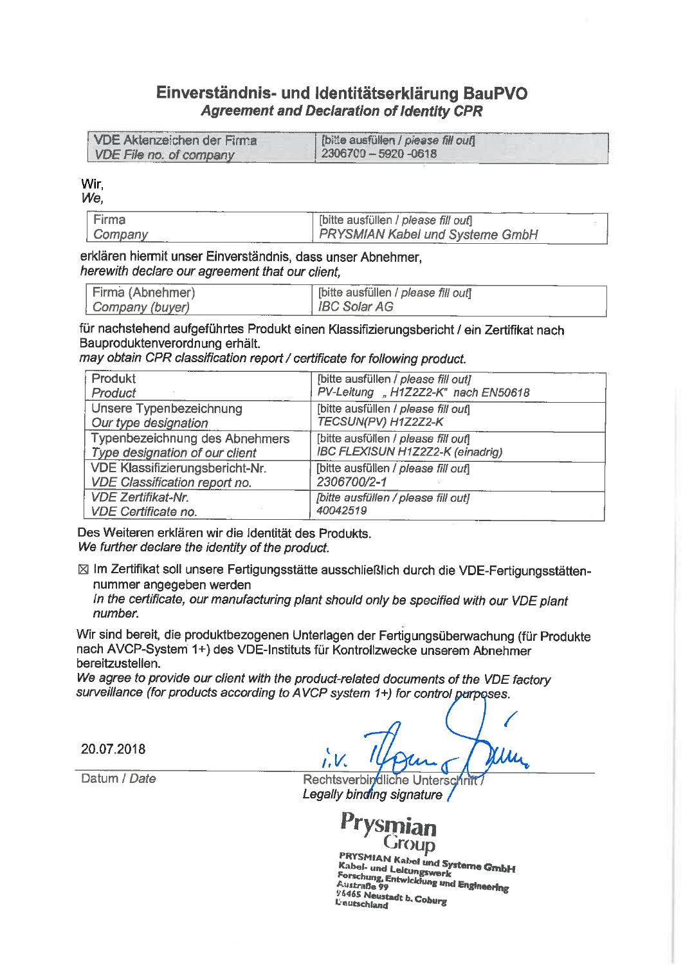#### Einverständnis- und Identitätserklärung BauPVO **Agreement and Declaration of Identity CPR**

| VDE Aktenzeichen der Firma | [bitte ausfüllen / piease fill out] |
|----------------------------|-------------------------------------|
| VDE File no. of company    | $2306700 - 5920 - 0618$             |

Wir.

We.

| Firma   | [bitte ausfüllen / please fill out] |  |
|---------|-------------------------------------|--|
| Company | PRYSMIAN Kabel und Systeme GmbH     |  |

#### erklären hiermit unser Einverständnis, dass unser Abnehmer. herewith declare our agreement that our client.

| Firma (Abnehmer) | [bitte ausfüllen / please fill ouf] |
|------------------|-------------------------------------|
| Company (buyer)  | $\parallel$ IBC Solar AG            |

für nachstehend aufgeführtes Produkt einen Klassifizierungsbericht / ein Zertifikat nach Bauproduktenverordnung erhält.

may obtain CPR classification report / certificate for following product.

| Produkt                         | [bitte ausfüllen / please fill out] |  |
|---------------------------------|-------------------------------------|--|
| Product                         | PV-Leitung "H1Z2Z2-K" nach EN50618  |  |
| Unsere Typenbezeichnung         | [bitte ausfüllen / please fill ouf] |  |
| Our type designation            | TECSUN(PV) H1Z2Z2-K                 |  |
| Typenbezeichnung des Abnehmers  | [bitte ausfüllen / please fill out] |  |
| Type designation of our client  | IBC FLEXISUN H1Z2Z2-K (einadrig)    |  |
| VDE Klassifizierungsbericht-Nr. | [bitte ausfüllen / please fill out] |  |
| VDE Classification report no.   | 2306700/2-1                         |  |
| <b>VDE Zertifikat-Nr.</b>       | [bitte ausfüllen / please fill out] |  |
| VDE Certificate no.             | 40042519                            |  |

Des Weiteren erklären wir die Identität des Produkts. We further declare the identity of the product.

⊠ Im Zertifikat soll unsere Fertigungsstätte ausschließlich durch die VDE-Fertigungsstättennummer angegeben werden

In the certificate, our manufacturing plant should only be specified with our VDE plant number.

Wir sind bereit, die produktbezogenen Unterlagen der Fertigungsüberwachung (für Produkte nach AVCP-System 1+) des VDE-Instituts für Kontrollzwecke unserem Abnehmer bereitzustellen.

We agree to provide our client with the product-related documents of the VDE factory surveillance (for products according to AVCP system 1+) for control purposes.

20.07.2018

Datum / Date

Rechtsverbindliche Unterschrit Legally binding signature

**dnour** 

PRYSMIAN Kabel und Systeme GmbH Kabel- und Leitungswerk Forschung, Entwicklung und Engineering 96465 Neustadt b. Coburg **L'eutschland**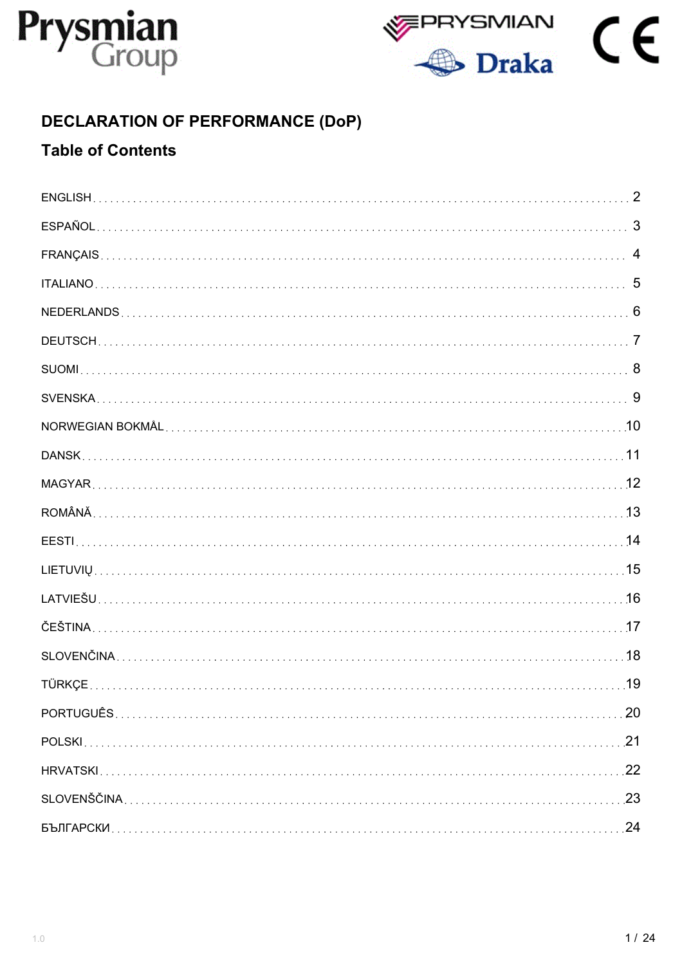



# **DECLARATION OF PERFORMANCE (DoP)**

# **Table of Contents**

| 1/24 |  |
|------|--|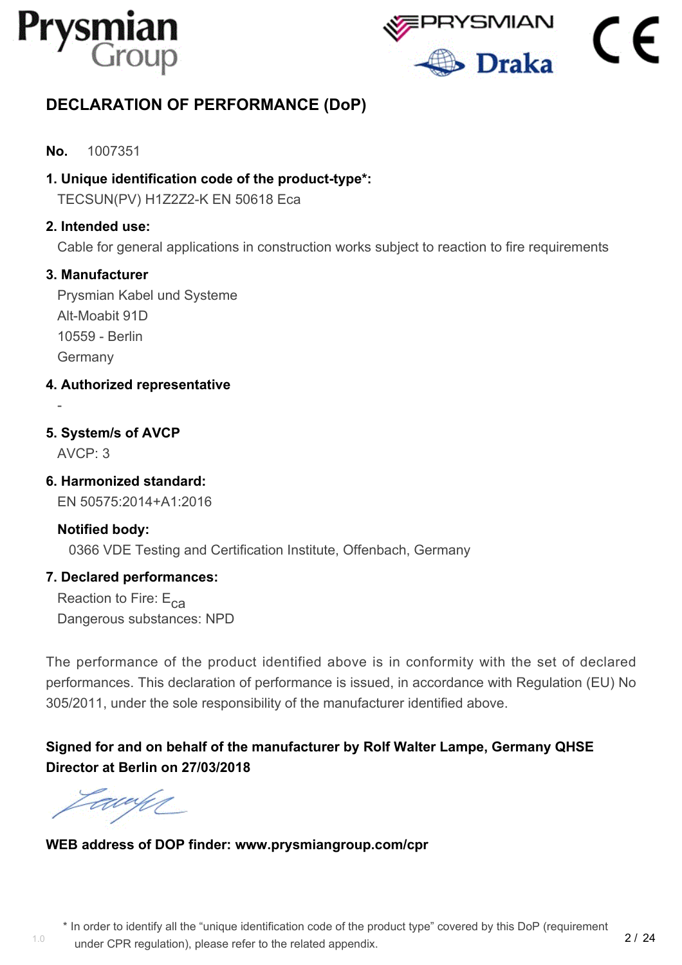



# <span id="page-3-0"></span>**DECLARATION OF PERFORMANCE (DoP)**

#### **No.** 1007351

**1. Unique identification code of the product-type\*:**

TECSUN(PV) H1Z2Z2-K EN 50618 Eca

#### **2. Intended use:**

Cable for general applications in construction works subject to reaction to fire requirements

#### **3. Manufacturer**

Prysmian Kabel und Systeme Alt-Moabit 91D 10559 - Berlin Germany

- **4. Authorized representative**
- **5. System/s of AVCP**

AVCP: 3

-

**6. Harmonized standard:**

EN 50575:2014+A1:2016

#### **Notified body:** 0366 VDE Testing and Certification Institute, Offenbach, Germany

#### **7. Declared performances:**

Reaction to Fire:  $E_{ca}$ Dangerous substances: NPD

The performance of the product identified above is in conformity with the set of declared performances. This declaration of performance is issued, in accordance with Regulation (EU) No 305/2011, under the sole responsibility of the manufacturer identified above.

# **Signed for and on behalf of the manufacturer by Rolf Walter Lampe, Germany QHSE Director at Berlin on 27/03/2018**

EU UM

# **WEB address of DOP finder: www.prysmiangroup.com/cpr**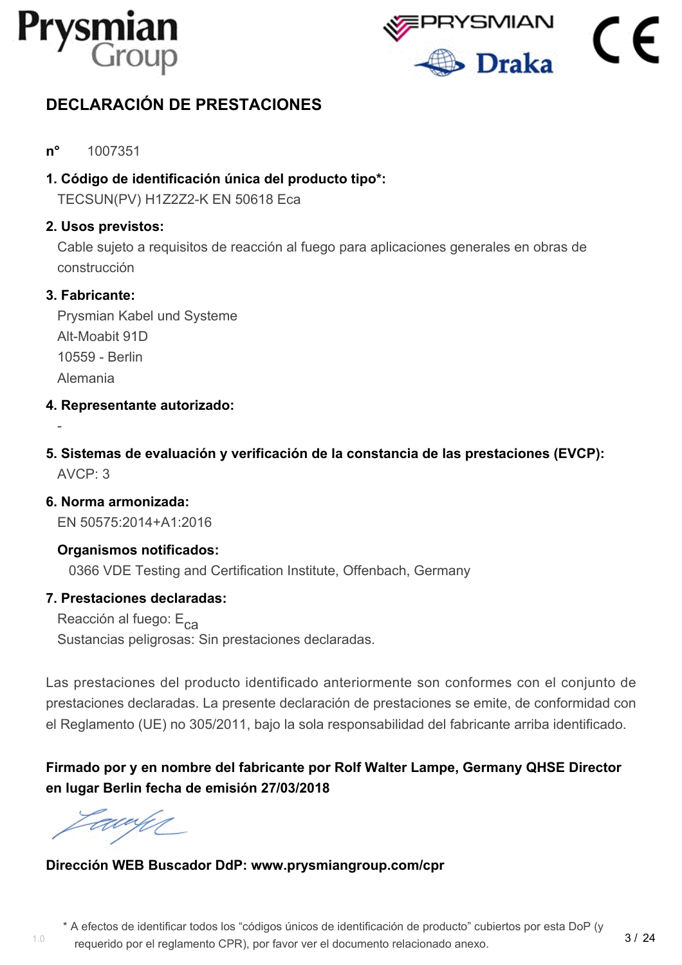



# <span id="page-4-0"></span>**DECLARACIÓN DE PRESTACIONES**

- **n°** 1007351
- **1. Código de identificación única del producto tipo\*:**

TECSUN(PV) H1Z2Z2-K EN 50618 Eca

#### **2. Usos previstos:**

Cable sujeto a requisitos de reacción al fuego para aplicaciones generales en obras de construcción

#### **3. Fabricante:**

-

Prysmian Kabel und Systeme Alt-Moabit 91D 10559 - Berlin Alemania

- **4. Representante autorizado:**
- **5. Sistemas de evaluación y verificación de la constancia de las prestaciones (EVCP):**  $AVCP: 3$

**6. Norma armonizada:** EN 50575:2014+A1:2016

**Organismos notificados:** 0366 VDE Testing and Certification Institute, Offenbach, Germany

#### **7. Prestaciones declaradas:**

Reacción al fuego: E<sub>ca</sub> Sustancias peligrosas: Sin prestaciones declaradas.

Las prestaciones del producto identificado anteriormente son conformes con el conjunto de prestaciones declaradas. La presente declaración de prestaciones se emite, de conformidad con el Reglamento (UE) no 305/2011, bajo la sola responsabilidad del fabricante arriba identificado.

# **Firmado por y en nombre del fabricante por Rolf Walter Lampe, Germany QHSE Director en lugar Berlin fecha de emisión 27/03/2018**

1.0

#### **Dirección WEB Buscador DdP: www.prysmiangroup.com/cpr**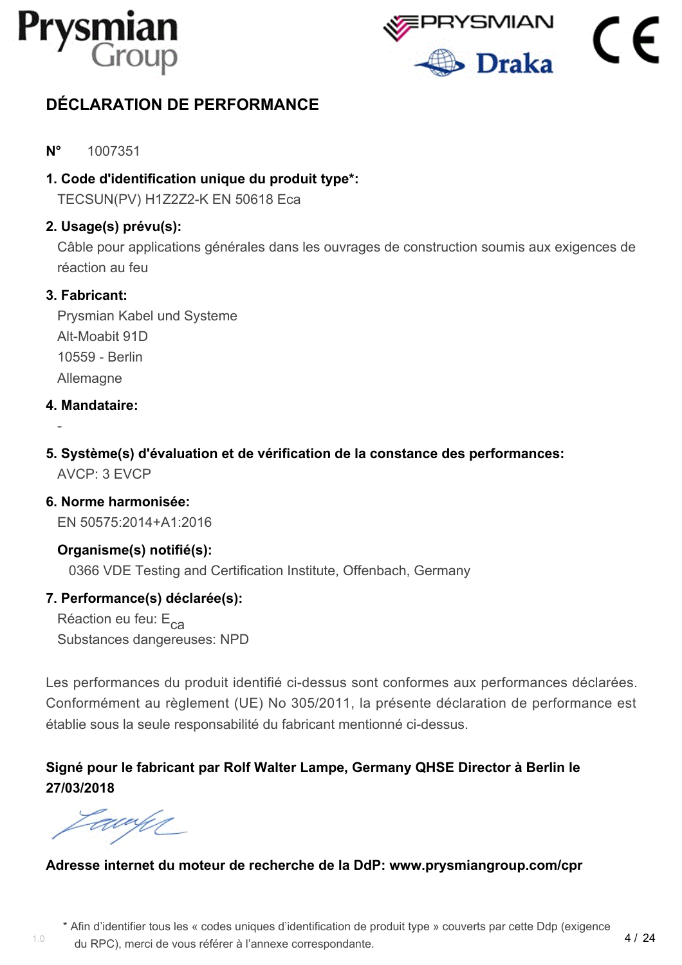



# <span id="page-5-0"></span>**DÉCLARATION DE PERFORMANCE**

#### **N°** 1007351

**1. Code d'identification unique du produit type\*:**

TECSUN(PV) H1Z2Z2-K EN 50618 Eca

#### **2. Usage(s) prévu(s):**

Câble pour applications générales dans les ouvrages de construction soumis aux exigences de réaction au feu

#### **3. Fabricant:**

Prysmian Kabel und Systeme Alt-Moabit 91D 10559 - Berlin **Allemagne** 

#### **4. Mandataire:**

-

**5. Système(s) d'évaluation et de vérification de la constance des performances:** AVCP: 3 EVCP

#### **6. Norme harmonisée:** EN 50575:2014+A1:2016

**Organisme(s) notifié(s):**

0366 VDE Testing and Certification Institute, Offenbach, Germany

#### **7. Performance(s) déclarée(s):**

Réaction eu feu: E<sub>ca</sub> Substances dangereuses: NPD

Les performances du produit identifié ci-dessus sont conformes aux performances déclarées. Conformément au règlement (UE) No 305/2011, la présente déclaration de performance est établie sous la seule responsabilité du fabricant mentionné ci-dessus.

## **Signé pour le fabricant par Rolf Walter Lampe, Germany QHSE Director à Berlin le 27/03/2018**

awun

1.0

#### **Adresse internet du moteur de recherche de la DdP: www.prysmiangroup.com/cpr**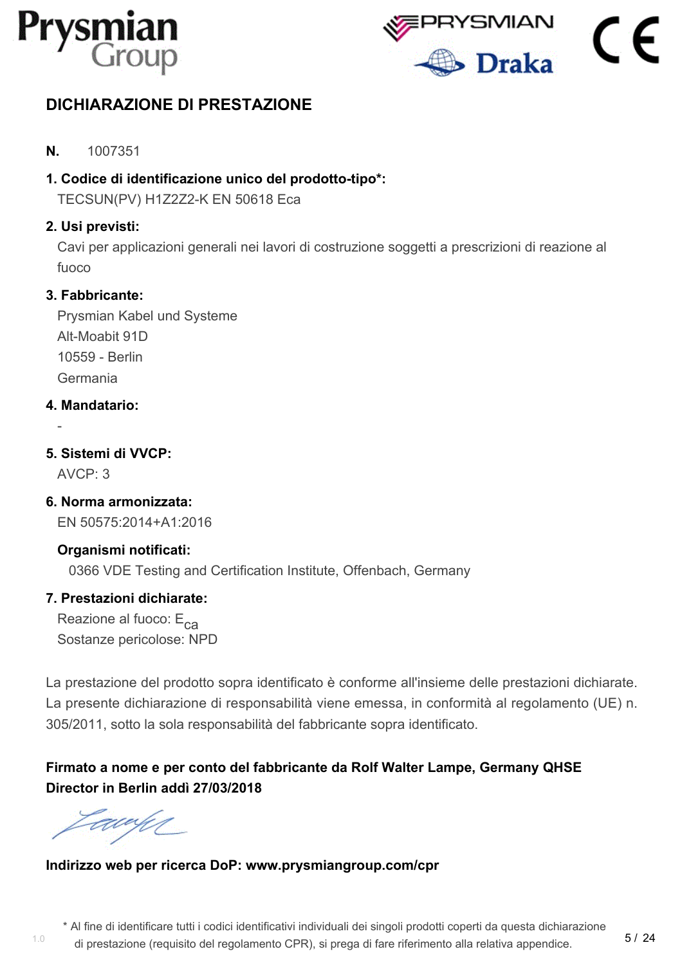



# <span id="page-6-0"></span>**DICHIARAZIONE DI PRESTAZIONE**

- **N.** 1007351
- **1. Codice di identificazione unico del prodotto-tipo\*:**

TECSUN(PV) H1Z2Z2-K EN 50618 Eca

#### **2. Usi previsti:**

Cavi per applicazioni generali nei lavori di costruzione soggetti a prescrizioni di reazione al fuoco

#### **3. Fabbricante:**

Prysmian Kabel und Systeme Alt-Moabit 91D 10559 - Berlin Germania

#### **4. Mandatario:**

**5. Sistemi di VVCP:**

 $AVCP: 3$ 

-

**6. Norma armonizzata:** EN 50575:2014+A1:2016

## **Organismi notificati:**

0366 VDE Testing and Certification Institute, Offenbach, Germany

#### **7. Prestazioni dichiarate:**

Reazione al fuoco:  $E_{ca}$ Sostanze pericolose: NPD

La prestazione del prodotto sopra identificato è conforme all'insieme delle prestazioni dichiarate. La presente dichiarazione di responsabilità viene emessa, in conformità al regolamento (UE) n. 305/2011, sotto la sola responsabilità del fabbricante sopra identificato.

# **Firmato a nome e per conto del fabbricante da Rolf Walter Lampe, Germany QHSE Director in Berlin addì 27/03/2018**

awun

1.0

#### **Indirizzo web per ricerca DoP: www.prysmiangroup.com/cpr**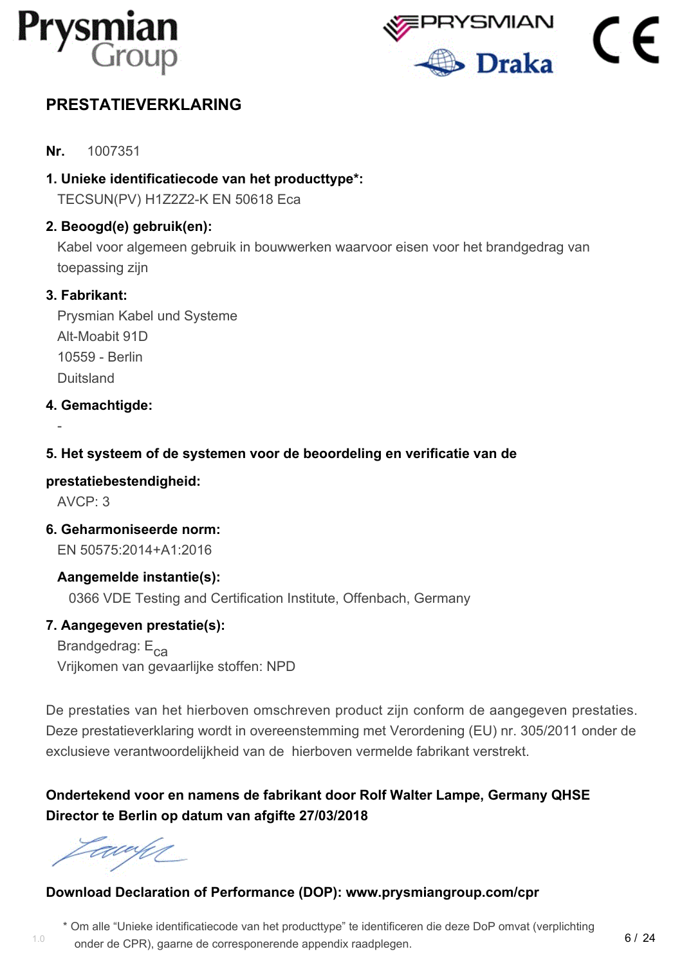



# <span id="page-7-0"></span>**PRESTATIEVERKLARING**

- **Nr.** 1007351
- **1. Unieke identificatiecode van het producttype\*:**

TECSUN(PV) H1Z2Z2-K EN 50618 Eca

#### **2. Beoogd(e) gebruik(en):**

Kabel voor algemeen gebruik in bouwwerken waarvoor eisen voor het brandgedrag van toepassing zijn

#### **3. Fabrikant:**

Prysmian Kabel und Systeme Alt-Moabit 91D 10559 - Berlin Duitsland

#### **4. Gemachtigde:**

#### **5. Het systeem of de systemen voor de beoordeling en verificatie van de**

#### **prestatiebestendigheid:**

AVCP: 3

-

**6. Geharmoniseerde norm:** EN 50575:2014+A1:2016

#### **Aangemelde instantie(s):**

0366 VDE Testing and Certification Institute, Offenbach, Germany

#### **7. Aangegeven prestatie(s):**

Brandgedrag: E<sub>ca</sub> Vrijkomen van gevaarlijke stoffen: NPD

De prestaties van het hierboven omschreven product zijn conform de aangegeven prestaties. Deze prestatieverklaring wordt in overeenstemming met Verordening (EU) nr. 305/2011 onder de exclusieve verantwoordelijkheid van de hierboven vermelde fabrikant verstrekt.

## **Ondertekend voor en namens de fabrikant door Rolf Walter Lampe, Germany QHSE Director te Berlin op datum van afgifte 27/03/2018**

awy

#### **Download Declaration of Performance (DOP): www.prysmiangroup.com/cpr**

\* Om alle "Unieke identificatiecode van het producttype" te identificeren die deze DoP omvat (verplichting

onder de CPR), gaarne de corresponerende appendix raadplegen.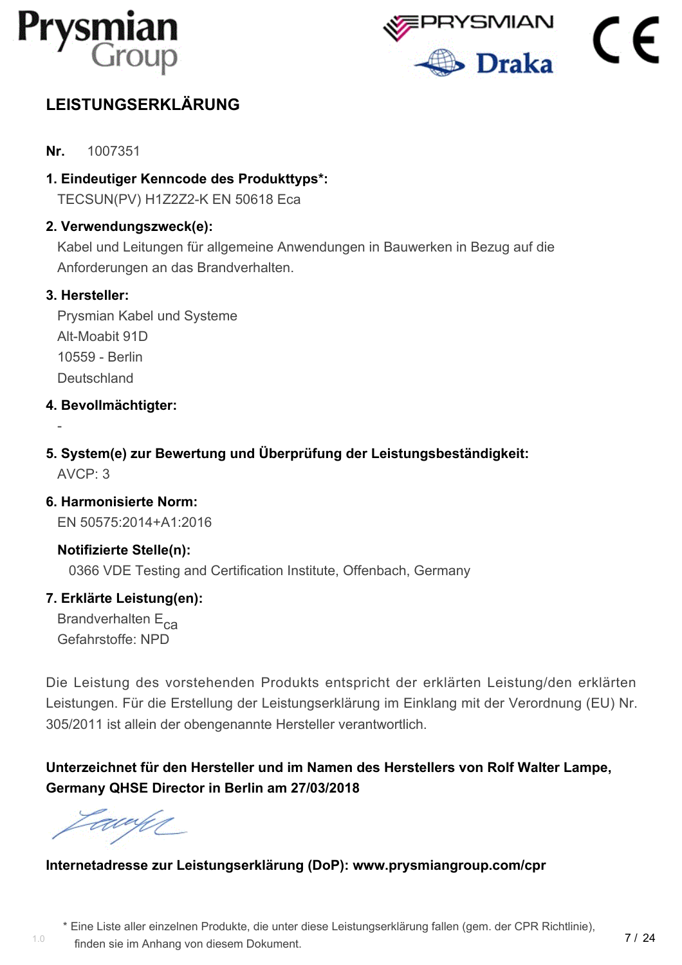



# <span id="page-8-0"></span>**LEISTUNGSERKLÄRUNG**

- **Nr.** 1007351
- **1. Eindeutiger Kenncode des Produkttyps\*:**

TECSUN(PV) H1Z2Z2-K EN 50618 Eca

#### **2. Verwendungszweck(e):**

Kabel und Leitungen für allgemeine Anwendungen in Bauwerken in Bezug auf die Anforderungen an das Brandverhalten.

#### **3. Hersteller:**

-

Prysmian Kabel und Systeme Alt-Moabit 91D 10559 - Berlin **Deutschland** 

#### **4. Bevollmächtigter:**

**5. System(e) zur Bewertung und Überprüfung der Leistungsbeständigkeit:**  $AVCP: 3$ 

**6. Harmonisierte Norm:** EN 50575:2014+A1:2016

**Notifizierte Stelle(n):** 0366 VDE Testing and Certification Institute, Offenbach, Germany

#### **7. Erklärte Leistung(en):**

Brandverhalten E<sub>ca</sub> Gefahrstoffe: NPD

Die Leistung des vorstehenden Produkts entspricht der erklärten Leistung/den erklärten Leistungen. Für die Erstellung der Leistungserklärung im Einklang mit der Verordnung (EU) Nr. 305/2011 ist allein der obengenannte Hersteller verantwortlich.

**Unterzeichnet für den Hersteller und im Namen des Herstellers von Rolf Walter Lampe, Germany QHSE Director in Berlin am 27/03/2018**

awy

#### **Internetadresse zur Leistungserklärung (DoP): www.prysmiangroup.com/cpr**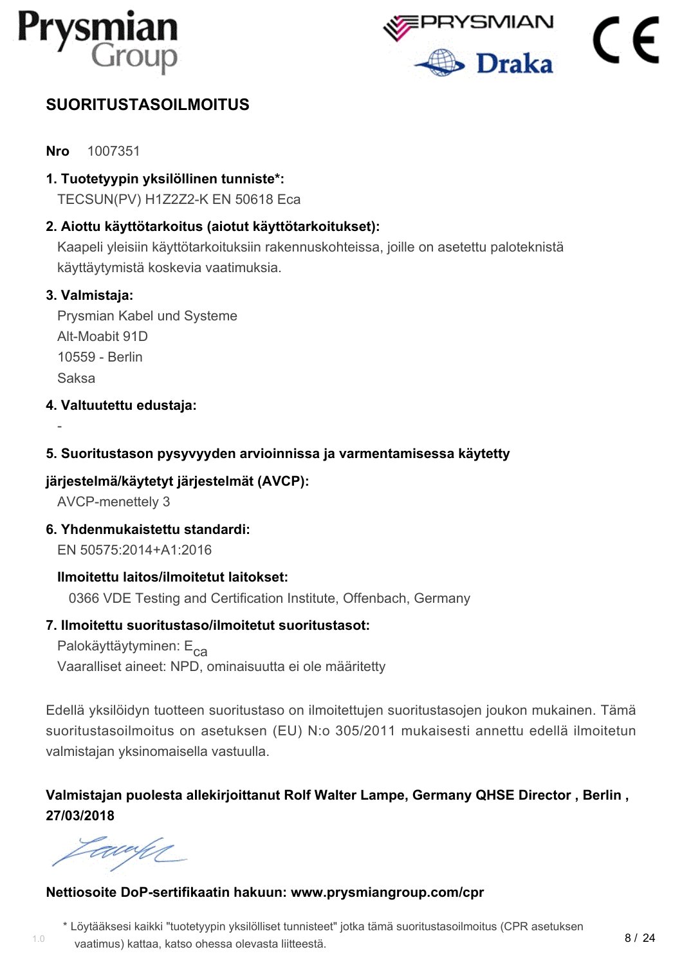



# <span id="page-9-0"></span>**SUORITUSTASOILMOITUS**

**Nro** 1007351

**1. Tuotetyypin yksilöllinen tunniste\*:**

TECSUN(PV) H1Z2Z2-K EN 50618 Eca

### **2. Aiottu käyttötarkoitus (aiotut käyttötarkoitukset):**

Kaapeli yleisiin käyttötarkoituksiin rakennuskohteissa, joille on asetettu paloteknistä käyttäytymistä koskevia vaatimuksia.

#### **3. Valmistaja:**

-

Prysmian Kabel und Systeme Alt-Moabit 91D 10559 - Berlin Saksa

**4. Valtuutettu edustaja:**

#### **5. Suoritustason pysyvyyden arvioinnissa ja varmentamisessa käytetty**

#### **järjestelmä/käytetyt järjestelmät (AVCP):**

AVCP-menettely 3

**6. Yhdenmukaistettu standardi:**

EN 50575:2014+A1:2016

#### **Ilmoitettu laitos/ilmoitetut laitokset:**

0366 VDE Testing and Certification Institute, Offenbach, Germany

#### **7. Ilmoitettu suoritustaso/ilmoitetut suoritustasot:**

Palokäyttäytyminen: E<sub>ca</sub> Vaaralliset aineet: NPD, ominaisuutta ei ole määritetty

Edellä yksilöidyn tuotteen suoritustaso on ilmoitettujen suoritustasojen joukon mukainen. Tämä suoritustasoilmoitus on asetuksen (EU) N:o 305/2011 mukaisesti annettu edellä ilmoitetun valmistajan yksinomaisella vastuulla.

## **Valmistajan puolesta allekirjoittanut Rolf Walter Lampe, Germany QHSE Director , Berlin , 27/03/2018**

tawifi

1.0

#### **Nettiosoite DoP-sertifikaatin hakuun: www.prysmiangroup.com/cpr**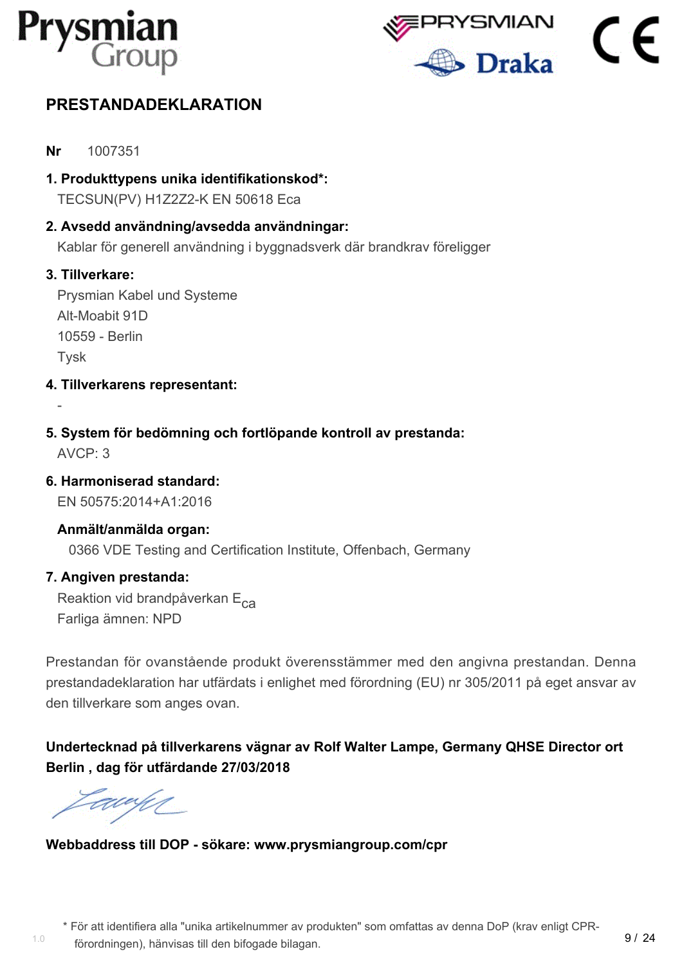



# <span id="page-10-0"></span>**PRESTANDADEKLARATION**

- **Nr** 1007351
- **1. Produkttypens unika identifikationskod\*:** TECSUN(PV) H1Z2Z2-K EN 50618 Eca
- **2. Avsedd användning/avsedda användningar:** Kablar för generell användning i byggnadsverk där brandkrav föreligger

#### **3. Tillverkare:**

-

Prysmian Kabel und Systeme Alt-Moabit 91D 10559 - Berlin **T**vsk

- **4. Tillverkarens representant:**
- **5. System för bedömning och fortlöpande kontroll av prestanda:** AVCP: 3
- **6. Harmoniserad standard:**

EN 50575:2014+A1:2016

# **Anmält/anmälda organ:**

0366 VDE Testing and Certification Institute, Offenbach, Germany

#### **7. Angiven prestanda:**

Reaktion vid brandpåverkan E<sub>ca</sub> Farliga ämnen: NPD

Prestandan för ovanstående produkt överensstämmer med den angivna prestandan. Denna prestandadeklaration har utfärdats i enlighet med förordning (EU) nr 305/2011 på eget ansvar av den tillverkare som anges ovan.

**Undertecknad på tillverkarens vägnar av Rolf Walter Lampe, Germany QHSE Director ort Berlin , dag för utfärdande 27/03/2018**

<u>ta</u>wa h

1.0

**Webbaddress till DOP - sökare: www.prysmiangroup.com/cpr**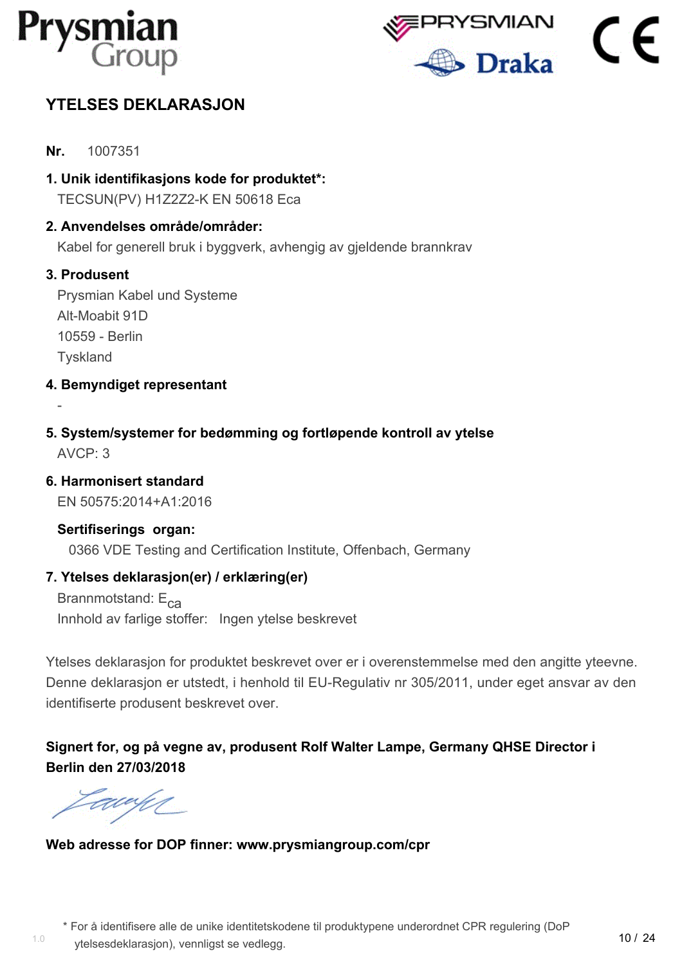



# <span id="page-11-0"></span>**YTELSES DEKLARASJON**

- **Nr.** 1007351
- **1. Unik identifikasjons kode for produktet\*:** TECSUN(PV) H1Z2Z2-K EN 50618 Eca

#### **2. Anvendelses område/områder:**

Kabel for generell bruk i byggverk, avhengig av gjeldende brannkrav

#### **3. Produsent**

-

Prysmian Kabel und Systeme Alt-Moabit 91D 10559 - Berlin **Tyskland** 

- **4. Bemyndiget representant**
- **5. System/systemer for bedømming og fortløpende kontroll av ytelse** AVCP: 3
- **6. Harmonisert standard**

EN 50575:2014+A1:2016

#### **Sertifiserings organ:**

0366 VDE Testing and Certification Institute, Offenbach, Germany

#### **7. Ytelses deklarasjon(er) / erklæring(er)**

Brannmotstand:  $E_{ca}$ Innhold av farlige stoffer: Ingen ytelse beskrevet

Ytelses deklarasjon for produktet beskrevet over er i overenstemmelse med den angitte yteevne. Denne deklarasjon er utstedt, i henhold til EU-Regulativ nr 305/2011, under eget ansvar av den identifiserte produsent beskrevet over.

**Signert for, og på vegne av, produsent Rolf Walter Lampe, Germany QHSE Director i Berlin den 27/03/2018**

awy

**Web adresse for DOP finner: www.prysmiangroup.com/cpr**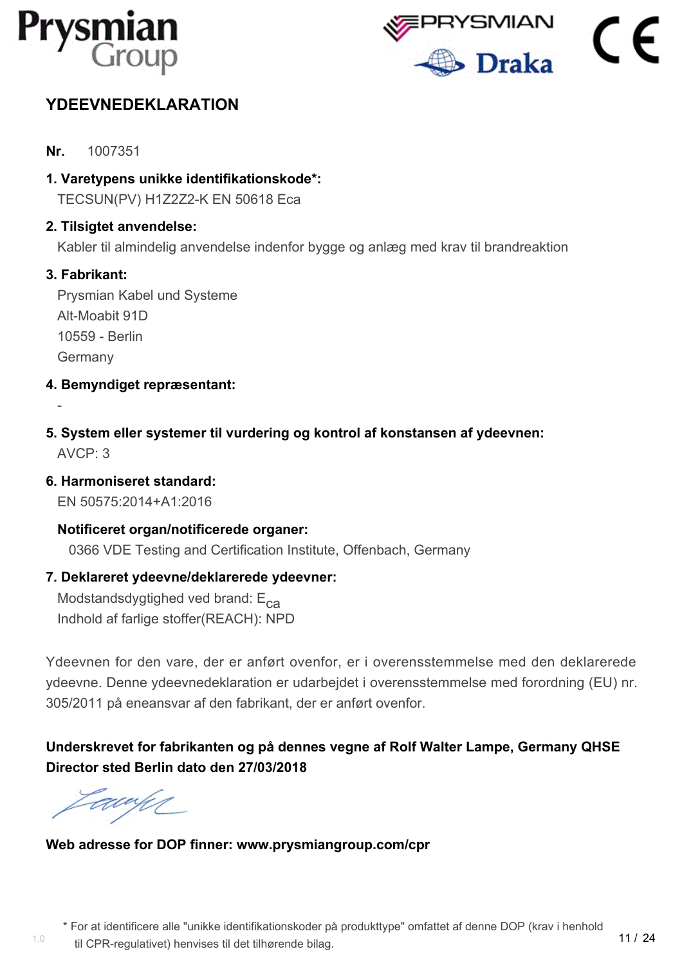



# <span id="page-12-0"></span>**YDEEVNEDEKLARATION**

- **Nr.** 1007351
- **1. Varetypens unikke identifikationskode\*:**

TECSUN(PV) H1Z2Z2-K EN 50618 Eca

#### **2. Tilsigtet anvendelse:**

Kabler til almindelig anvendelse indenfor bygge og anlæg med krav til brandreaktion

#### **3. Fabrikant:**

-

Prysmian Kabel und Systeme Alt-Moabit 91D 10559 - Berlin Germany

- **4. Bemyndiget repræsentant:**
- **5. System eller systemer til vurdering og kontrol af konstansen af ydeevnen:** AVCP: 3
- **6. Harmoniseret standard:**

EN 50575:2014+A1:2016

#### **Notificeret organ/notificerede organer:**

0366 VDE Testing and Certification Institute, Offenbach, Germany

#### **7. Deklareret ydeevne/deklarerede ydeevner:**

Modstandsdygtighed ved brand:  $E_{ca}$ Indhold af farlige stoffer(REACH): NPD

Ydeevnen for den vare, der er anført ovenfor, er i overensstemmelse med den deklarerede ydeevne. Denne ydeevnedeklaration er udarbejdet i overensstemmelse med forordning (EU) nr. 305/2011 på eneansvar af den fabrikant, der er anført ovenfor.

# **Underskrevet for fabrikanten og på dennes vegne af Rolf Walter Lampe, Germany QHSE Director sted Berlin dato den 27/03/2018**

awy

#### **Web adresse for DOP finner: www.prysmiangroup.com/cpr**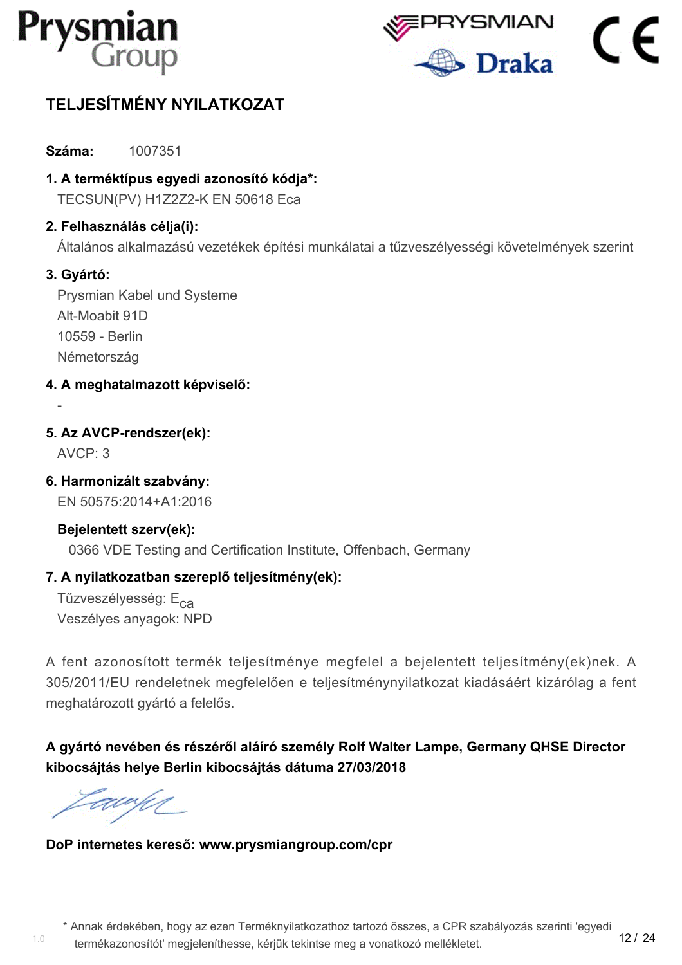



# <span id="page-13-0"></span>**TELJESÍTMÉNY NYILATKOZAT**

**Száma:** 1007351

**1. A terméktípus egyedi azonosító kódja\*:** TECSUN(PV) H1Z2Z2-K EN 50618 Eca

#### **2. Felhasználás célja(i):**

Általános alkalmazású vezetékek építési munkálatai a tűzveszélyességi követelmények szerint

#### **3. Gyártó:**

Prysmian Kabel und Systeme Alt-Moabit 91D 10559 - Berlin Németország

- **4. A meghatalmazott képviselő:**
- **5. Az AVCP-rendszer(ek):**

AVCP: 3

-

**6. Harmonizált szabvány:**

EN 50575:2014+A1:2016

#### **Bejelentett szerv(ek):**

0366 VDE Testing and Certification Institute, Offenbach, Germany

#### **7. A nyilatkozatban szereplő teljesítmény(ek):**

Tűzveszélyesség: E<sub>ca</sub> Veszélyes anyagok: NPD

A fent azonosított termék teljesítménye megfelel a bejelentett teljesítmény(ek)nek. A 305/2011/EU rendeletnek megfelelően e teljesítménynyilatkozat kiadásáért kizárólag a fent meghatározott gyártó a felelős.

# **A gyártó nevében és részéről aláíró személy Rolf Walter Lampe, Germany QHSE Director kibocsájtás helye Berlin kibocsájtás dátuma 27/03/2018**

Eddy (

1.0

#### **DoP internetes kereső: www.prysmiangroup.com/cpr**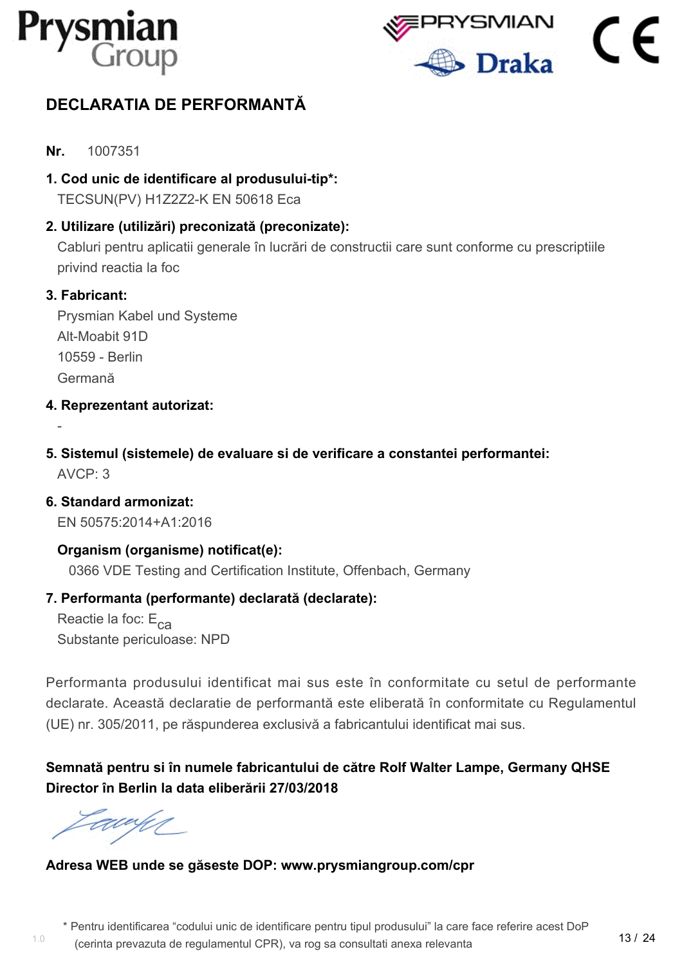



# <span id="page-14-0"></span>**DECLARATIA DE PERFORMANTĂ**

- **Nr.** 1007351
- **1. Cod unic de identificare al produsului-tip\*:** TECSUN(PV) H1Z2Z2-K EN 50618 Eca

**2. Utilizare (utilizări) preconizată (preconizate):**

Cabluri pentru aplicatii generale în lucrări de constructii care sunt conforme cu prescriptiile privind reactia la foc

#### **3. Fabricant:**

-

Prysmian Kabel und Systeme Alt-Moabit 91D 10559 - Berlin Germană

- **4. Reprezentant autorizat:**
- **5. Sistemul (sistemele) de evaluare si de verificare a constantei performantei:**  $AVCP: 3$

**6. Standard armonizat:** EN 50575:2014+A1:2016

**Organism (organisme) notificat(e):** 0366 VDE Testing and Certification Institute, Offenbach, Germany

#### **7. Performanta (performante) declarată (declarate):**

Reactie la foc:  $E_{CA}$ Substante periculoase: NPD

Performanta produsului identificat mai sus este în conformitate cu setul de performante declarate. Această declaratie de performantă este eliberată în conformitate cu Regulamentul (UE) nr. 305/2011, pe răspunderea exclusivă a fabricantului identificat mai sus.

**Semnată pentru si în numele fabricantului de către Rolf Walter Lampe, Germany QHSE Director în Berlin la data eliberării 27/03/2018**

awy

#### **Adresa WEB unde se găseste DOP: www.prysmiangroup.com/cpr**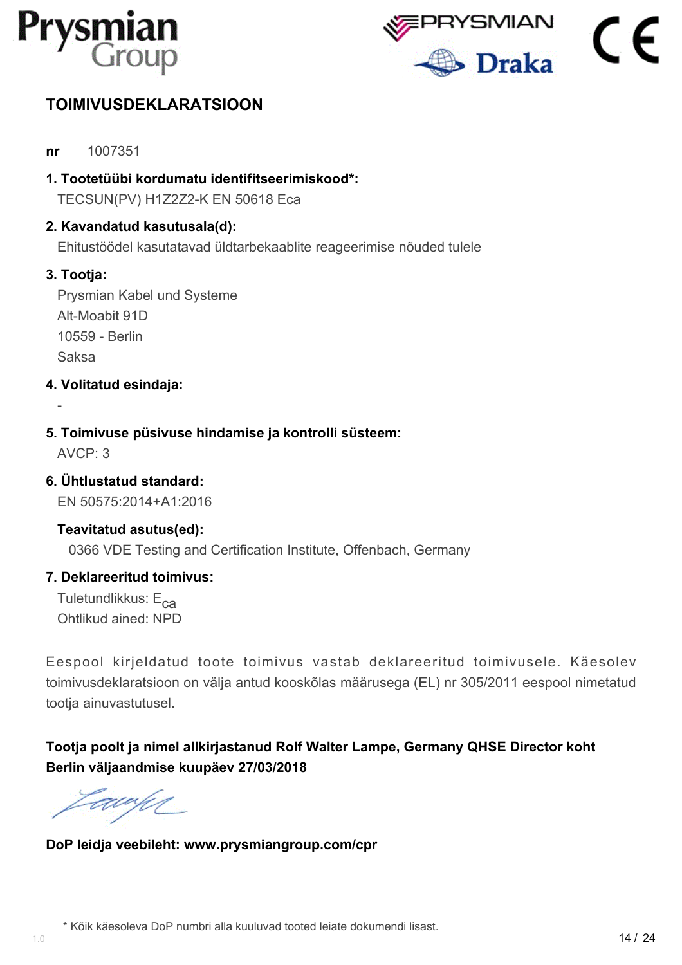



# <span id="page-15-0"></span>**TOIMIVUSDEKLARATSIOON**

- **nr** 1007351
- **1. Tootetüübi kordumatu identifitseerimiskood\*:** TECSUN(PV) H1Z2Z2-K EN 50618 Eca
- **2. Kavandatud kasutusala(d):**

Ehitustöödel kasutatavad üldtarbekaablite reageerimise nõuded tulele

#### **3. Tootja:**

Prysmian Kabel und Systeme Alt-Moabit 91D 10559 - Berlin Saksa

- **4. Volitatud esindaja:**
- **5. Toimivuse püsivuse hindamise ja kontrolli süsteem:**

AVCP: 3

-

**6. Ühtlustatud standard:**

EN 50575:2014+A1:2016

#### **Teavitatud asutus(ed):**

0366 VDE Testing and Certification Institute, Offenbach, Germany

#### **7. Deklareeritud toimivus:**

Tuletundlikkus:  $E_{c2}$ Ohtlikud ained: NPD

Eespool kirjeldatud toote toimivus vastab deklareeritud toimivusele. Käesolev toimivusdeklaratsioon on välja antud kooskõlas määrusega (EL) nr 305/2011 eespool nimetatud tootja ainuvastutusel.

**Tootja poolt ja nimel allkirjastanud Rolf Walter Lampe, Germany QHSE Director koht Berlin väljaandmise kuupäev 27/03/2018**

Eawy

**DoP leidja veebileht: www.prysmiangroup.com/cpr**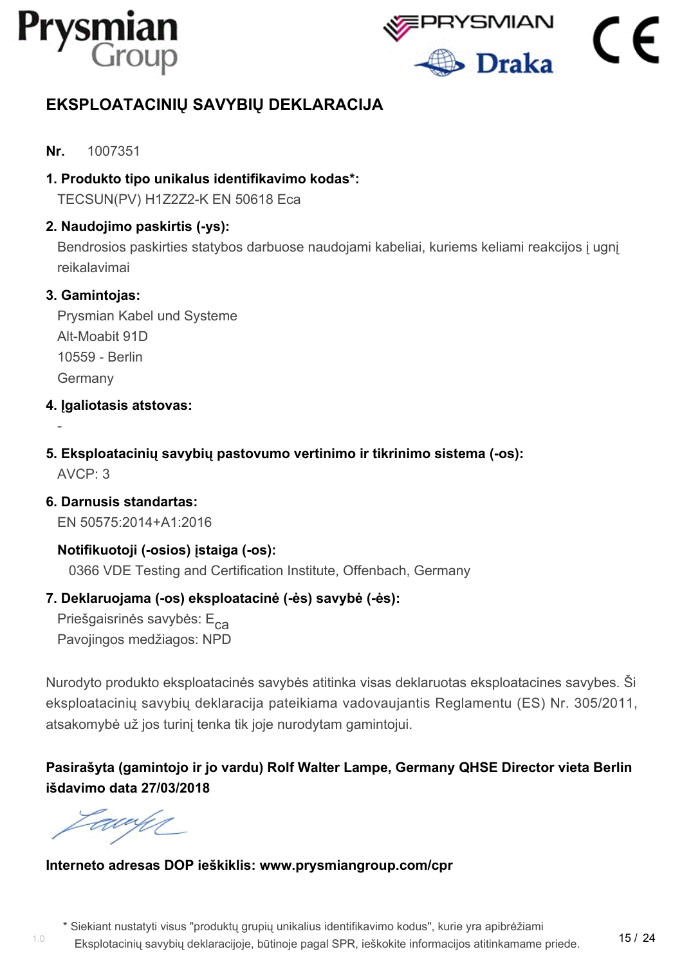



# <span id="page-16-0"></span>**EKSPLOATACINIŲ SAVYBIŲ DEKLARACIJA**

#### **Nr.** 1007351

**1. Produkto tipo unikalus identifikavimo kodas\*:**

TECSUN(PV) H1Z2Z2-K EN 50618 Eca

#### **2. Naudojimo paskirtis (-ys):**

Bendrosios paskirties statybos darbuose naudojami kabeliai, kuriems keliami reakcijos į ugnį reikalavimai

#### **3. Gamintojas:**

-

Prysmian Kabel und Systeme Alt-Moabit 91D 10559 - Berlin Germany

- **4. Įgaliotasis atstovas:**
- **5. Eksploatacinių savybių pastovumo vertinimo ir tikrinimo sistema (-os):**  $AVCP: 3$

**6. Darnusis standartas:** EN 50575:2014+A1:2016

**Notifikuotoji (-osios) įstaiga (-os):** 0366 VDE Testing and Certification Institute, Offenbach, Germany

#### **7. Deklaruojama (-os) eksploatacinė (-ės) savybė (-ės):**

Priešgaisrinės savybės: E<sub>ca</sub> Pavojingos medžiagos: NPD

Nurodyto produkto eksploatacinės savybės atitinka visas deklaruotas eksploatacines savybes. Ši eksploatacinių savybių deklaracija pateikiama vadovaujantis Reglamentu (ES) Nr. 305/2011, atsakomybė už jos turinį tenka tik joje nurodytam gamintojui.

# **Pasirašyta (gamintojo ir jo vardu) Rolf Walter Lampe, Germany QHSE Director vieta Berlin išdavimo data 27/03/2018**

EU UM

1.0

#### **Interneto adresas DOP ieškiklis: www.prysmiangroup.com/cpr**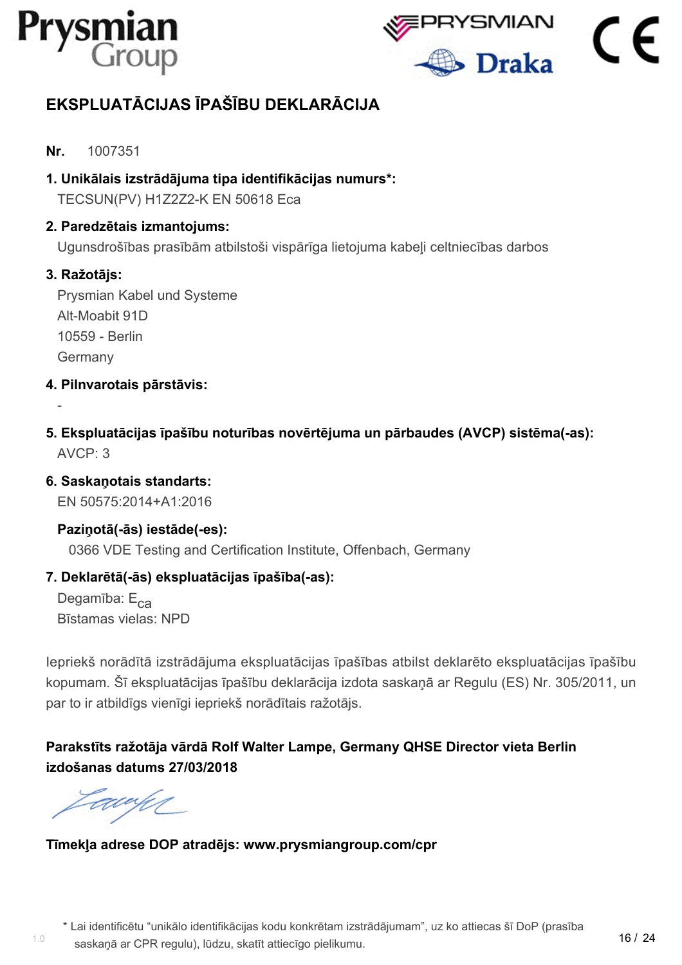



# <span id="page-17-0"></span>**EKSPLUATĀCIJAS ĪPAŠĪBU DEKLARĀCIJA**

- **Nr.** 1007351
- **1. Unikālais izstrādājuma tipa identifikācijas numurs\*:** TECSUN(PV) H1Z2Z2-K EN 50618 Eca
- **2. Paredzētais izmantojums:**

Ugunsdrošības prasībām atbilstoši vispārīga lietojuma kabeļi celtniecības darbos

#### **3. Ražotājs:**

-

Prysmian Kabel und Systeme Alt-Moabit 91D 10559 - Berlin Germany

- **4. Pilnvarotais pārstāvis:**
- **5. Ekspluatācijas īpašību noturības novērtējuma un pārbaudes (AVCP) sistēma(-as):** AVCP: 3
- **6. Saskaņotais standarts:**

EN 50575:2014+A1:2016

#### **Paziņotā(-ās) iestāde(-es):**

0366 VDE Testing and Certification Institute, Offenbach, Germany

#### **7. Deklarētā(-ās) ekspluatācijas īpašība(-as):**

Degamība:  $E_{ca}$ Bīstamas vielas: NPD

Iepriekš norādītā izstrādājuma ekspluatācijas īpašības atbilst deklarēto ekspluatācijas īpašību kopumam. Šī ekspluatācijas īpašību deklarācija izdota saskaņā ar Regulu (ES) Nr. 305/2011, un par to ir atbildīgs vienīgi iepriekš norādītais ražotājs.

## **Parakstīts ražotāja vārdā Rolf Walter Lampe, Germany QHSE Director vieta Berlin izdošanas datums 27/03/2018**

Eddy (

1.0

## **Tīmekļa adrese DOP atradējs: www.prysmiangroup.com/cpr**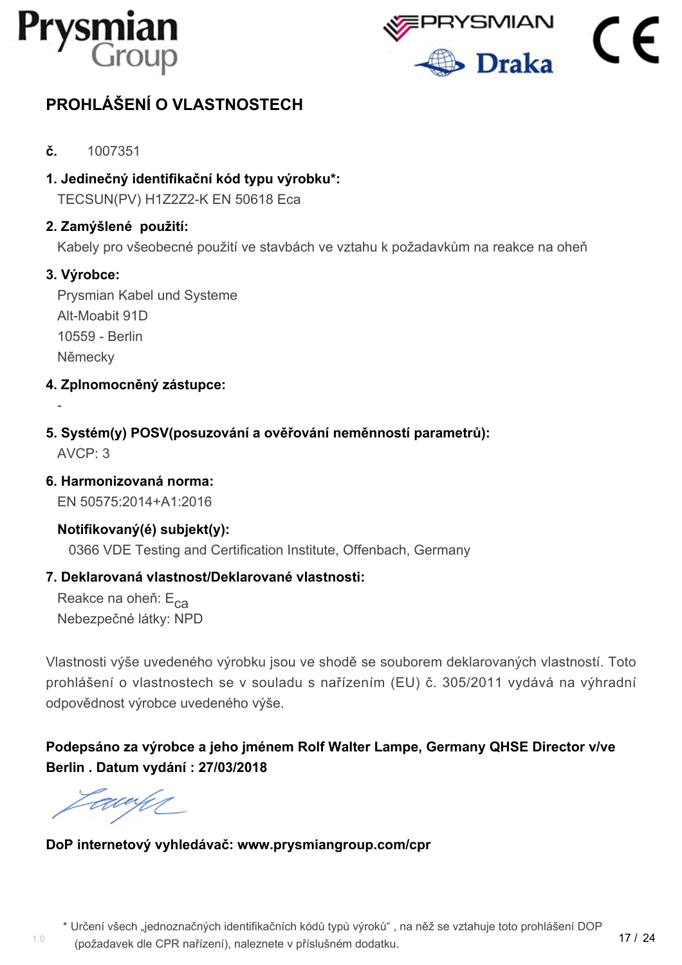



17 / 24

# <span id="page-18-0"></span>**PROHLÁŠENÍ O VLASTNOSTECH**

- **č.** 1007351
- **1. Jedinečný identifikační kód typu výrobku\*:** TECSUN(PV) H1Z2Z2-K EN 50618 Eca

#### **2. Zamýšlené použití:**

Kabely pro všeobecné použití ve stavbách ve vztahu k požadavkům na reakce na oheň

#### **3. Výrobce:**

-

Prysmian Kabel und Systeme Alt-Moabit 91D 10559 - Berlin Německy

- **4. Zplnomocněný zástupce:**
- **5. Systém(y) POSV(posuzování a ověřování neměnností parametrů):** AVCP: 3
- **6. Harmonizovaná norma:**

EN 50575:2014+A1:2016

#### **Notifikovaný(é) subjekt(y):**

0366 VDE Testing and Certification Institute, Offenbach, Germany

#### **7. Deklarovaná vlastnost/Deklarované vlastnosti:**

Reakce na oheň: E<sub>ca</sub> Nebezpečné látky: NPD

Vlastnosti výše uvedeného výrobku jsou ve shodě se souborem deklarovaných vlastností. Toto prohlášení o vlastnostech se v souladu s nařízením (EU) č. 305/2011 vydává na výhradní odpovědnost výrobce uvedeného výše.

**Podepsáno za výrobce a jeho jménem Rolf Walter Lampe, Germany QHSE Director v/ve Berlin . Datum vydání : 27/03/2018**

EU U

**DoP internetový vyhledávač: www.prysmiangroup.com/cpr**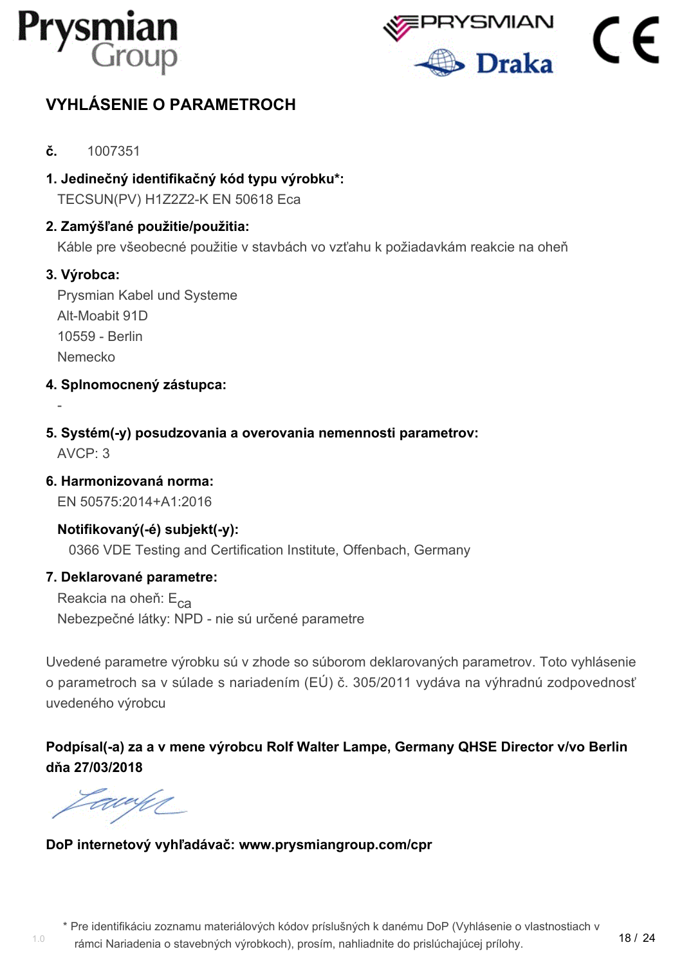



# <span id="page-19-0"></span>**VYHLÁSENIE O PARAMETROCH**

- **č.** 1007351
- **1. Jedinečný identifikačný kód typu výrobku\*:** TECSUN(PV) H1Z2Z2-K EN 50618 Eca

#### **2. Zamýšľané použitie/použitia:**

Káble pre všeobecné použitie v stavbách vo vzťahu k požiadavkám reakcie na oheň

#### **3. Výrobca:**

-

Prysmian Kabel und Systeme Alt-Moabit 91D 10559 - Berlin Nemecko

- **4. Splnomocnený zástupca:**
- **5. Systém(-y) posudzovania a overovania nemennosti parametrov:** AVCP: 3
- **6. Harmonizovaná norma:**

EN 50575:2014+A1:2016

#### **Notifikovaný(-é) subjekt(-y):**

0366 VDE Testing and Certification Institute, Offenbach, Germany

#### **7. Deklarované parametre:**

Reakcia na oheň: E<sub>ca</sub> Nebezpečné látky: NPD - nie sú určené parametre

Uvedené parametre výrobku sú v zhode so súborom deklarovaných parametrov. Toto vyhlásenie o parametroch sa v súlade s nariadením (EÚ) č. 305/2011 vydáva na výhradnú zodpovednosť uvedeného výrobcu

**Podpísal(-a) za a v mene výrobcu Rolf Walter Lampe, Germany QHSE Director v/vo Berlin dňa 27/03/2018**

awun

#### **DoP internetový vyhľadávač: www.prysmiangroup.com/cpr**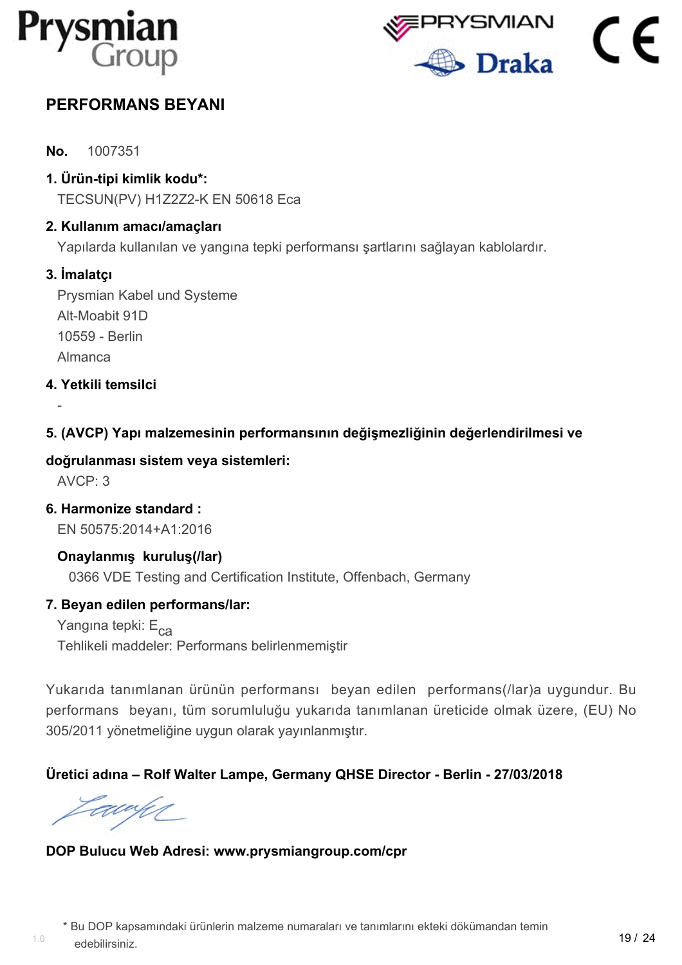



# <span id="page-20-0"></span>**PERFORMANS BEYANI**

**No.** 1007351

**1. Ürün-tipi kimlik kodu\*:**

TECSUN(PV) H1Z2Z2-K EN 50618 Eca

#### **2. Kullanım amacı/amaçları**

Yapılarda kullanılan ve yangına tepki performansı şartlarını sağlayan kablolardır.

#### **3. İmalatçı**

Prysmian Kabel und Systeme Alt-Moabit 91D 10559 - Berlin Almanca

**4. Yetkili temsilci**

#### **5. (AVCP) Yapı malzemesinin performansının değişmezliğinin değerlendirilmesi ve**

#### **doğrulanması sistem veya sistemleri:**

AVCP: 3

-

**6. Harmonize standard :** EN 50575:2014+A1:2016

**Onaylanmış kuruluş(/lar)** 0366 VDE Testing and Certification Institute, Offenbach, Germany

#### **7. Beyan edilen performans/lar:**

Yangına tepki: E<sub>ca</sub> Tehlikeli maddeler: Performans belirlenmemiştir

Yukarıda tanımlanan ürünün performansı beyan edilen performans(/lar)a uygundur. Bu performans beyanı, tüm sorumluluğu yukarıda tanımlanan üreticide olmak üzere, (EU) No 305/2011 yönetmeliğine uygun olarak yayınlanmıştır.

#### **Üretici adına – Rolf Walter Lampe, Germany QHSE Director - Berlin - 27/03/2018**

awy

#### **DOP Bulucu Web Adresi: www.prysmiangroup.com/cpr**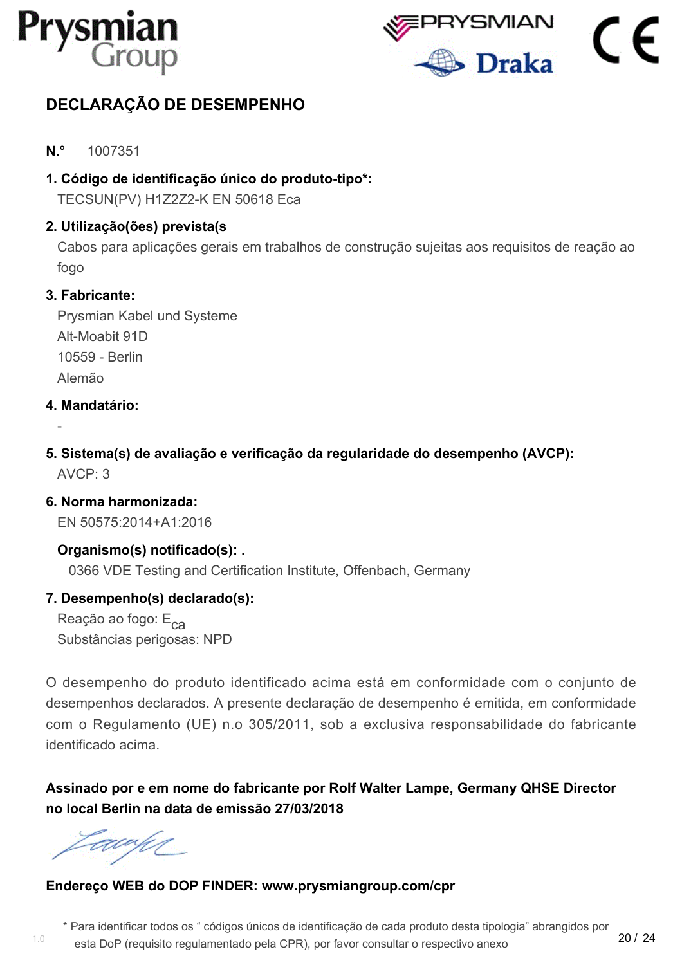



# <span id="page-21-0"></span>**DECLARAÇÃO DE DESEMPENHO**

- **N.°** 1007351
- **1. Código de identificação único do produto-tipo\*:**

TECSUN(PV) H1Z2Z2-K EN 50618 Eca

#### **2. Utilização(ões) prevista(s**

Cabos para aplicações gerais em trabalhos de construção sujeitas aos requisitos de reação ao fogo

#### **3. Fabricante:**

Prysmian Kabel und Systeme Alt-Moabit 91D 10559 - Berlin Alemão

#### **4. Mandatário:**

-

**5. Sistema(s) de avaliação e verificação da regularidade do desempenho (AVCP):**  $AVCP: 3$ 

**6. Norma harmonizada:** EN 50575:2014+A1:2016

**Organismo(s) notificado(s): .** 0366 VDE Testing and Certification Institute, Offenbach, Germany

#### **7. Desempenho(s) declarado(s):**

Reação ao fogo: E<sub>ca</sub> Substâncias perigosas: NPD

O desempenho do produto identificado acima está em conformidade com o conjunto de desempenhos declarados. A presente declaração de desempenho é emitida, em conformidade com o Regulamento (UE) n.o 305/2011, sob a exclusiva responsabilidade do fabricante identificado acima.

**Assinado por e em nome do fabricante por Rolf Walter Lampe, Germany QHSE Director no local Berlin na data de emissão 27/03/2018**

awye

1.0

#### **Endereço WEB do DOP FINDER: www.prysmiangroup.com/cpr**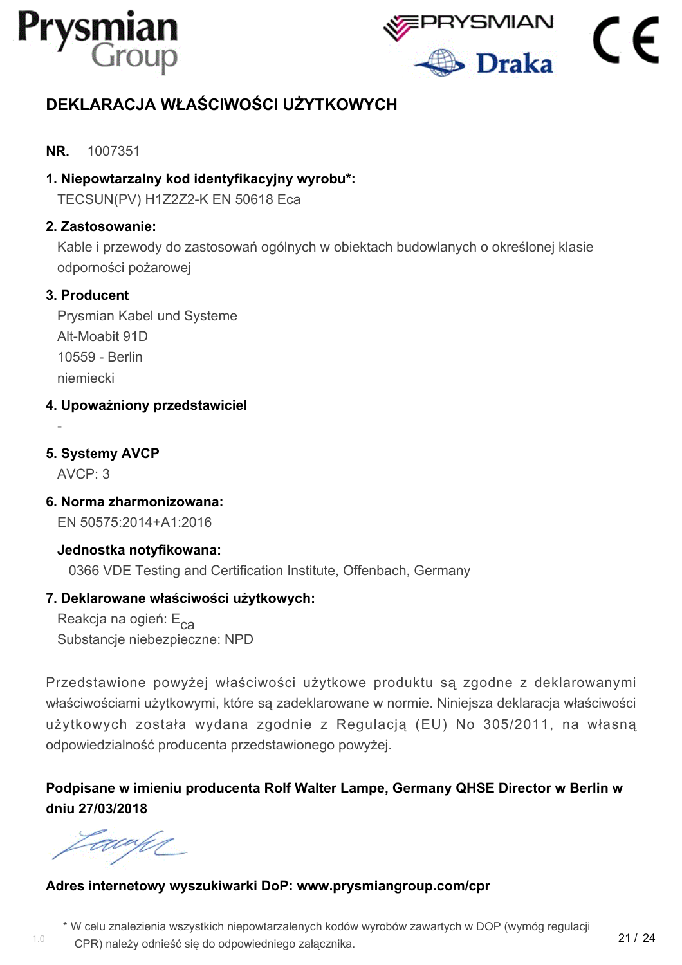



# <span id="page-22-0"></span>**DEKLARACJA WŁAŚCIWOŚCI UŻYTKOWYCH**

#### **NR.** 1007351

#### **1. Niepowtarzalny kod identyfikacyjny wyrobu\*:**

TECSUN(PV) H1Z2Z2-K EN 50618 Eca

#### **2. Zastosowanie:**

Kable i przewody do zastosowań ogólnych w obiektach budowlanych o określonej klasie odporności pożarowej

#### **3. Producent**

Prysmian Kabel und Systeme Alt-Moabit 91D 10559 - Berlin niemiecki

**4. Upoważniony przedstawiciel**

## **5. Systemy AVCP**

 $AVCP: 3$ 

-

**6. Norma zharmonizowana:** EN 50575:2014+A1:2016

**Jednostka notyfikowana:** 0366 VDE Testing and Certification Institute, Offenbach, Germany

#### **7. Deklarowane właściwości użytkowych:**

Reakcja na ogień: E<sub>ca</sub> Substancje niebezpieczne: NPD

Przedstawione powyżej właściwości użytkowe produktu są zgodne z deklarowanymi właściwościami użytkowymi, które są zadeklarowane w normie. Niniejsza deklaracja właściwości użytkowych została wydana zgodnie z Regulacją (EU) No 305/2011, na własną odpowiedzialność producenta przedstawionego powyżej.

**Podpisane w imieniu producenta Rolf Walter Lampe, Germany QHSE Director w Berlin w dniu 27/03/2018**

awahn

1.0

#### **Adres internetowy wyszukiwarki DoP: www.prysmiangroup.com/cpr**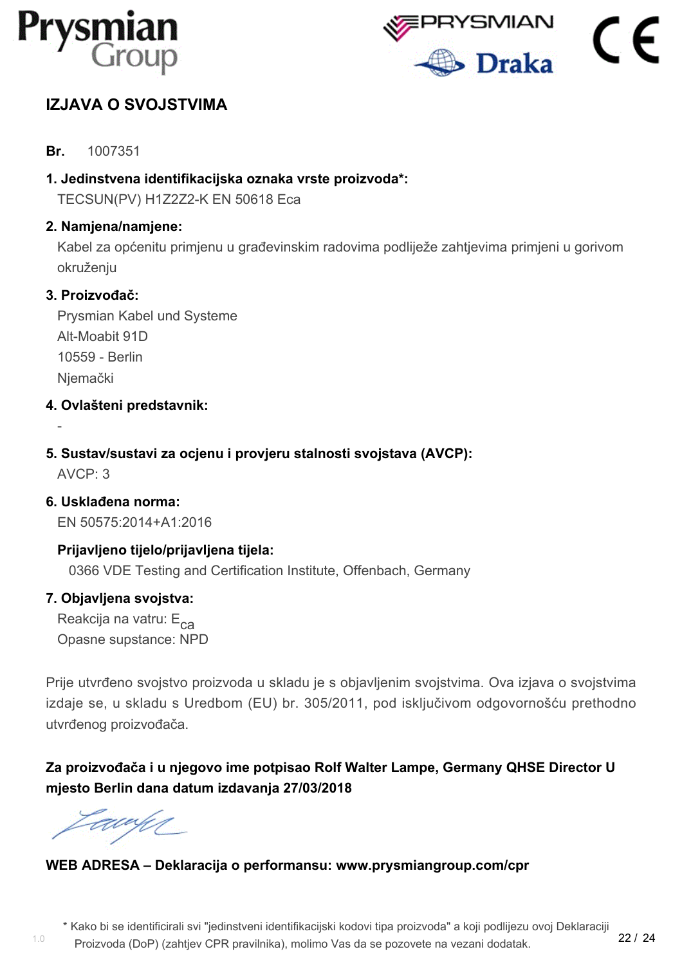



# <span id="page-23-0"></span>**IZJAVA O SVOJSTVIMA**

**Br.** 1007351

**1. Jedinstvena identifikacijska oznaka vrste proizvoda\*:**

TECSUN(PV) H1Z2Z2-K EN 50618 Eca

#### **2. Namjena/namjene:**

Kabel za općenitu primjenu u građevinskim radovima podliježe zahtjevima primjeni u gorivom okruženju

#### **3. Proizvođač:**

Prysmian Kabel und Systeme Alt-Moabit 91D 10559 - Berlin **Niemački** 

- **4. Ovlašteni predstavnik:**
- **5. Sustav/sustavi za ocjenu i provjeru stalnosti svojstava (AVCP):**

 $AVCP: 3$ 

-

**6. Usklađena norma:** EN 50575:2014+A1:2016

**Prijavljeno tijelo/prijavljena tijela:** 0366 VDE Testing and Certification Institute, Offenbach, Germany

#### **7. Objavljena svojstva:**

Reakcija na vatru: E<sub>ca</sub> Opasne supstance: NPD

Prije utvrđeno svojstvo proizvoda u skladu je s objavljenim svojstvima. Ova izjava o svojstvima izdaje se, u skladu s Uredbom (EU) br. 305/2011, pod isključivom odgovornošću prethodno utvrđenog proizvođača.

**Za proizvođača i u njegovo ime potpisao Rolf Walter Lampe, Germany QHSE Director U mjesto Berlin dana datum izdavanja 27/03/2018**

EU UM

## **WEB ADRESA – Deklaracija o performansu: www.prysmiangroup.com/cpr**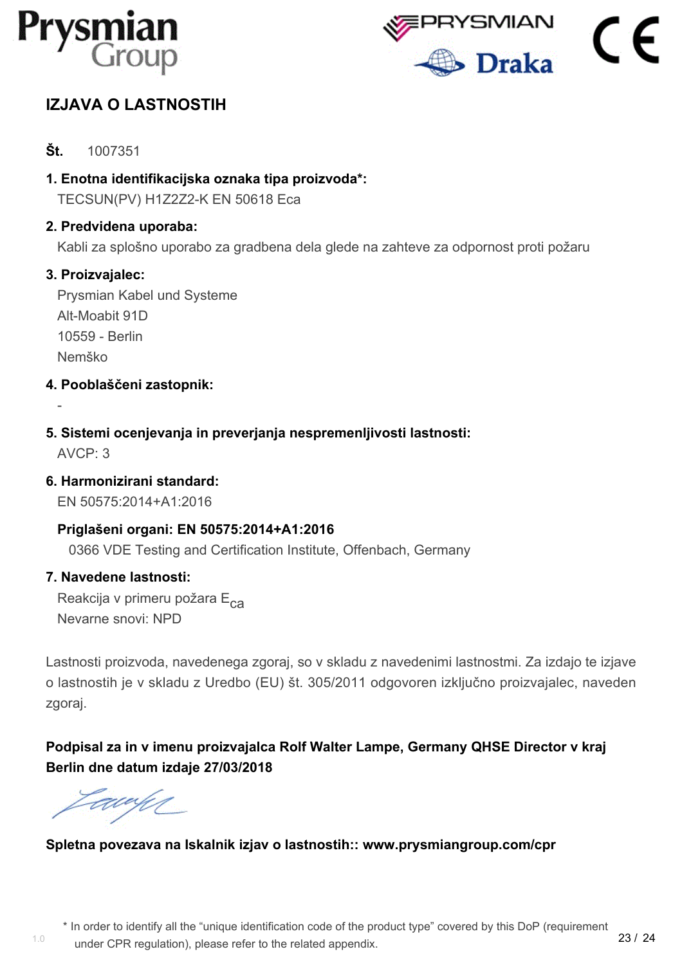



# <span id="page-24-0"></span>**IZJAVA O LASTNOSTIH**

- **Št.** 1007351
- **1. Enotna identifikacijska oznaka tipa proizvoda\*:** TECSUN(PV) H1Z2Z2-K EN 50618 Eca
- **2. Predvidena uporaba:**

Kabli za splošno uporabo za gradbena dela glede na zahteve za odpornost proti požaru

#### **3. Proizvajalec:**

Prysmian Kabel und Systeme Alt-Moabit 91D 10559 - Berlin Nemško

- **4. Pooblaščeni zastopnik:**
- **5. Sistemi ocenjevanja in preverjanja nespremenljivosti lastnosti:**

AVCP: 3

-

**6. Harmonizirani standard:**

EN 50575:2014+A1:2016

#### **Priglašeni organi: EN 50575:2014+A1:2016**

0366 VDE Testing and Certification Institute, Offenbach, Germany

#### **7. Navedene lastnosti:**

Reakcija v primeru požara E<sub>ca</sub> Nevarne snovi: NPD

Lastnosti proizvoda, navedenega zgoraj, so v skladu z navedenimi lastnostmi. Za izdajo te izjave o lastnostih je v skladu z Uredbo (EU) št. 305/2011 odgovoren izključno proizvajalec, naveden zgoraj.

**Podpisal za in v imenu proizvajalca Rolf Walter Lampe, Germany QHSE Director v kraj Berlin dne datum izdaje 27/03/2018**

awy

1.0

#### **Spletna povezava na Iskalnik izjav o lastnostih:: www.prysmiangroup.com/cpr**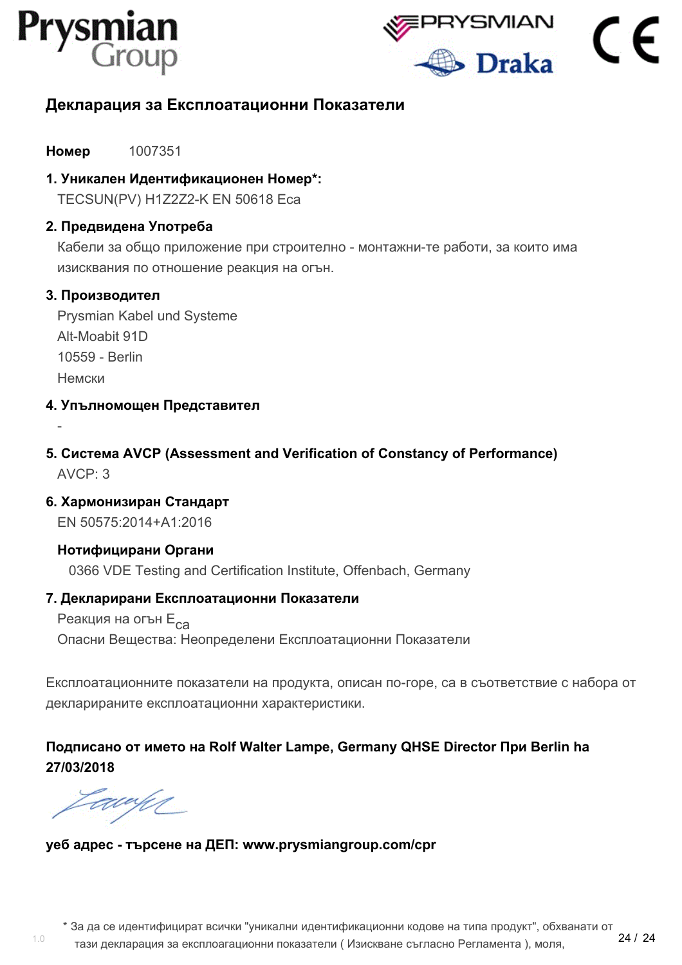



# <span id="page-25-0"></span>**Декларация за Експлоатационни Показатели**

**Номер** 1007351

**1. Уникален Идентификационен Номер\*:**

TECSUN(PV) H1Z2Z2-K EN 50618 Eca

#### **2. Предвидена Употреба**

Кабели за общо приложение при строително - монтажни-те работи, за които има изисквания по отношение реакция на огън.

#### **3. Производител**

-

Prysmian Kabel und Systeme Alt-Moabit 91D 10559 - Berlin Немски

**4. Упълномощен Представител**

- **5. Система AVCP (Assessment and Verification of Constancy of Performance)**  $AVCP: 3$
- **6. Хармонизиран Стандарт**

EN 50575:2014+A1:2016

#### **Нотифицирани Органи**

0366 VDE Testing and Certification Institute, Offenbach, Germany

#### **7. Декларирани Експлоатационни Показатели**

Реакция на огън Е<sub>са</sub> Опасни Вещества: Неопределени Експлоатационни Показатели

Експлоатационните показатели на продукта, описан по-горе, са в съответствие с набора от декларираните експлоатационни характеристики.

#### **Подписано от името на Rolf Walter Lampe, Germany QHSE Director При Berlin hа 27/03/2018**

Eawy

1.0

#### **уеб адрес - търсене на ДЕП: www.prysmiangroup.com/cpr**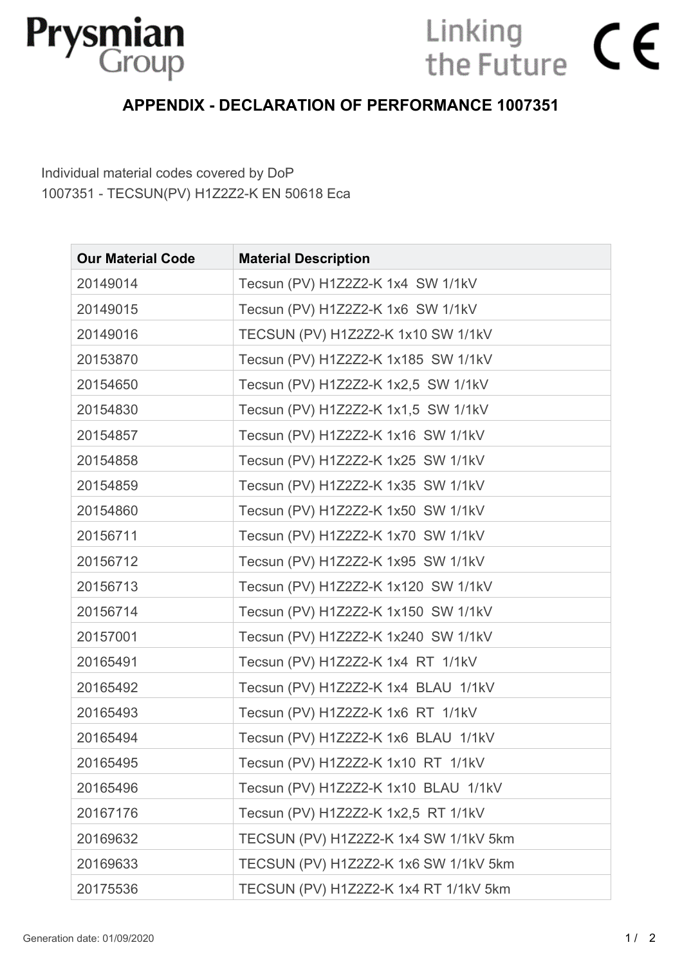

# Linking<br>the Future  $\mathsf{C}\boldsymbol{\epsilon}$

# **APPENDIX - DECLARATION OF PERFORMANCE 1007351**

Individual material codes covered by DoP 1007351 - TECSUN(PV) H1Z2Z2-K EN 50618 Eca

| <b>Our Material Code</b> | <b>Material Description</b>           |
|--------------------------|---------------------------------------|
| 20149014                 | Tecsun (PV) H1Z2Z2-K 1x4 SW 1/1kV     |
| 20149015                 | Tecsun (PV) H1Z2Z2-K 1x6 SW 1/1kV     |
| 20149016                 | TECSUN (PV) H1Z2Z2-K 1x10 SW 1/1kV    |
| 20153870                 | Tecsun (PV) H1Z2Z2-K 1x185 SW 1/1kV   |
| 20154650                 | Tecsun (PV) H1Z2Z2-K 1x2,5 SW 1/1kV   |
| 20154830                 | Tecsun (PV) H1Z2Z2-K 1x1,5 SW 1/1kV   |
| 20154857                 | Tecsun (PV) H1Z2Z2-K 1x16 SW 1/1kV    |
| 20154858                 | Tecsun (PV) H1Z2Z2-K 1x25 SW 1/1kV    |
| 20154859                 | Tecsun (PV) H1Z2Z2-K 1x35 SW 1/1kV    |
| 20154860                 | Tecsun (PV) H1Z2Z2-K 1x50 SW 1/1kV    |
| 20156711                 | Tecsun (PV) H1Z2Z2-K 1x70 SW 1/1kV    |
| 20156712                 | Tecsun (PV) H1Z2Z2-K 1x95 SW 1/1kV    |
| 20156713                 | Tecsun (PV) H1Z2Z2-K 1x120 SW 1/1kV   |
| 20156714                 | Tecsun (PV) H1Z2Z2-K 1x150 SW 1/1kV   |
| 20157001                 | Tecsun (PV) H1Z2Z2-K 1x240 SW 1/1kV   |
| 20165491                 | Tecsun (PV) H1Z2Z2-K 1x4 RT 1/1kV     |
| 20165492                 | Tecsun (PV) H1Z2Z2-K 1x4 BLAU 1/1kV   |
| 20165493                 | Tecsun (PV) H1Z2Z2-K 1x6 RT 1/1kV     |
| 20165494                 | Tecsun (PV) H1Z2Z2-K 1x6 BLAU 1/1kV   |
| 20165495                 | Tecsun (PV) H1Z2Z2-K 1x10 RT 1/1kV    |
| 20165496                 | Tecsun (PV) H1Z2Z2-K 1x10 BLAU 1/1kV  |
| 20167176                 | Tecsun (PV) H1Z2Z2-K 1x2,5 RT 1/1kV   |
| 20169632                 | TECSUN (PV) H1Z2Z2-K 1x4 SW 1/1kV 5km |
| 20169633                 | TECSUN (PV) H1Z2Z2-K 1x6 SW 1/1kV 5km |
| 20175536                 | TECSUN (PV) H1Z2Z2-K 1x4 RT 1/1kV 5km |